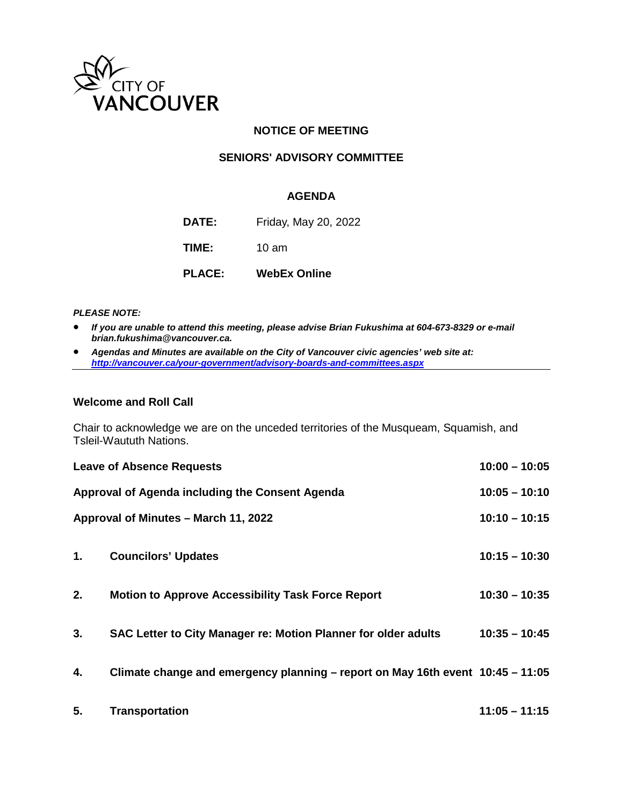

## **NOTICE OF MEETING**

## **SENIORS' ADVISORY COMMITTEE**

#### **AGENDA**

**DATE:** Friday, May 20, 2022

**TIME:** 10 am

**PLACE: WebEx Online**

#### *PLEASE NOTE:*

- *If you are unable to attend this meeting, please advise Brian Fukushima at 604-673-8329 or e-mail brian.fukushima@vancouver.ca.*
- *Agendas and Minutes are available on the City of Vancouver civic agencies' web site at: <http://vancouver.ca/your-government/advisory-boards-and-committees.aspx>*

#### **Welcome and Roll Call**

Chair to acknowledge we are on the unceded territories of the Musqueam, Squamish, and Tsleil-Waututh Nations.

| $10:00 - 10:05$<br><b>Leave of Absence Requests</b> |                                                                                |                 |
|-----------------------------------------------------|--------------------------------------------------------------------------------|-----------------|
| Approval of Agenda including the Consent Agenda     | $10:05 - 10:10$                                                                |                 |
| Approval of Minutes – March 11, 2022                |                                                                                | $10:10 - 10:15$ |
|                                                     |                                                                                |                 |
| 1.                                                  | <b>Councilors' Updates</b>                                                     | $10:15 - 10:30$ |
| 2.                                                  | <b>Motion to Approve Accessibility Task Force Report</b>                       | $10:30 - 10:35$ |
|                                                     |                                                                                |                 |
| 3.                                                  | SAC Letter to City Manager re: Motion Planner for older adults                 | $10:35 - 10:45$ |
|                                                     |                                                                                |                 |
| 4.                                                  | Climate change and emergency planning - report on May 16th event 10:45 - 11:05 |                 |
|                                                     |                                                                                |                 |
| 5.                                                  | <b>Transportation</b>                                                          | $11:05 - 11:15$ |